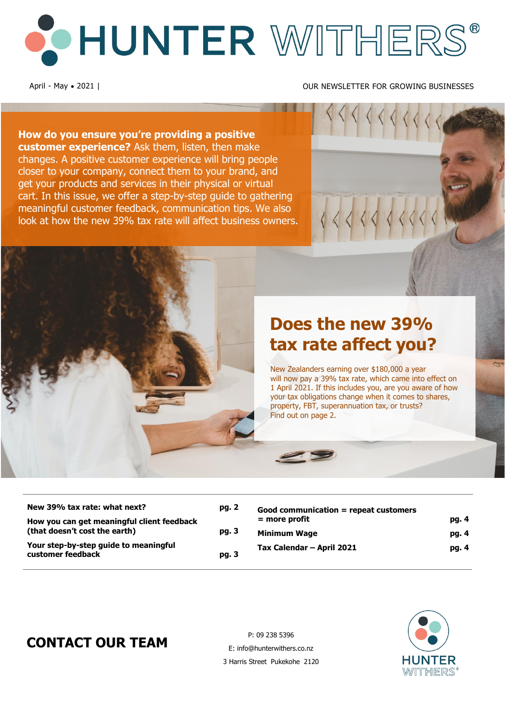# O HUNTER WITHERS®

#### April - May • 2021 | OUR NEWSLETTER FOR GROWING BUSINESSES

**How do you ensure you're providing a positive customer experience?** Ask them, listen, then make changes. A positive customer experience will bring people closer to your company, connect them to your brand, and get your products and services in their physical or virtual cart. In this issue, we offer a step-by-step guide to gathering meaningful customer feedback, communication tips. We also look at how the new 39% tax rate will affect business owners.



New Zealanders earning over \$180,000 a year will now pay a 39% tax rate, which came into effect on 1 April 2021. If this includes you, are you aware of how your tax obligations change when it comes to shares, property, FBT, superannuation tax, or trusts? Find out on page 2.

| New 39% tax rate: what next?<br>How you can get meaningful client feedback | pg. 2 | Good communication = repeat customers<br>$=$ more profit | pg. 4 |
|----------------------------------------------------------------------------|-------|----------------------------------------------------------|-------|
| (that doesn't cost the earth)                                              | pg. 3 | <b>Minimum Wage</b>                                      | pg. 4 |
| Your step-by-step guide to meaningful<br>customer feedback                 | pg. 3 | Tax Calendar - April 2021                                | pg. 4 |

# **CONTACT OUR TEAM**

P: 09 238 5396 E: info@hunterwithers.co.nz 3 Harris Street Pukekohe 2120

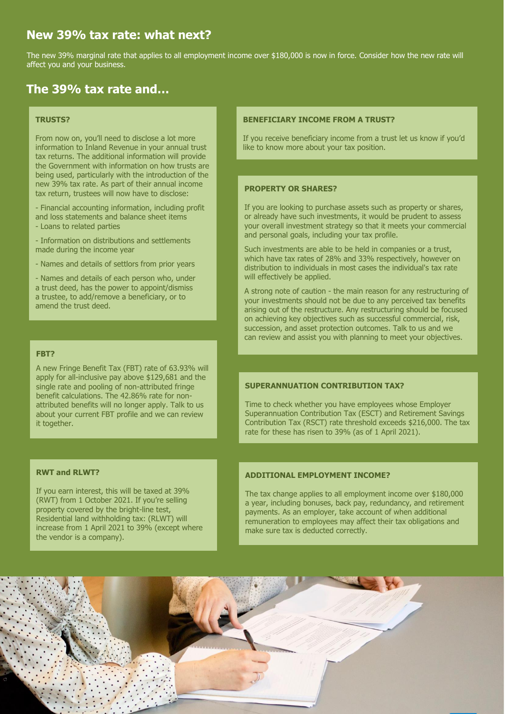## New 39% tax rate: what next?

The new 39% marginal rate that applies to all employment income over \$180,000 is now in force. Consider how the new rate will affect you and your business.

## **The 39% tax rate and…**

#### **TRUSTS?**

From now on, you'll need to disclose a lot more information to Inland Revenue in your annual trust tax returns. The additional information will provide the Government with information on how trusts are being used, particularly with the introduction of the new 39% tax rate. As part of their annual income tax return, trustees will now have to disclose:

- Financial accounting information, including profit and loss statements and balance sheet items

- Loans to related parties
- Information on distributions and settlements made during the income year
- Names and details of settlors from prior years

- Names and details of each person who, under a trust deed, has the power to appoint/dismiss a trustee, to add/remove a beneficiary, or to amend the trust deed.

#### **FBT?**

A new Fringe Benefit Tax (FBT) rate of 63.93% will apply for all-inclusive pay above \$129,681 and the single rate and pooling of non-attributed fringe benefit calculations. The 42.86% rate for nonattributed benefits will no longer apply. Talk to us about your current FBT profile and we can review it together.

#### **RWT and RLWT?**

If you earn interest, this will be taxed at 39% (RWT) from 1 October 2021. If you're selling property covered by the bright-line test, Residential land withholding tax: (RLWT) will increase from 1 April 2021 to 39% (except where the vendor is a company).

#### **BENEFICIARY INCOME FROM A TRUST?**

If you receive beneficiary income from a trust let us know if you'd like to know more about your tax position.

#### **PROPERTY OR SHARES?**

If you are looking to purchase assets such as property or shares, or already have such investments, it would be prudent to assess your overall investment strategy so that it meets your commercial and personal goals, including your tax profile.

Such investments are able to be held in companies or a trust, which have tax rates of 28% and 33% respectively, however on distribution to individuals in most cases the individual's tax rate will effectively be applied.

A strong note of caution - the main reason for any restructuring of your investments should not be due to any perceived tax benefits arising out of the restructure. Any restructuring should be focused on achieving key objectives such as successful commercial, risk, succession, and asset protection outcomes. Talk to us and we can review and assist you with planning to meet your objectives.

#### **SUPERANNUATION CONTRIBUTION TAX?**

Time to check whether you have employees whose Employer Superannuation Contribution Tax (ESCT) and Retirement Savings Contribution Tax (RSCT) rate threshold exceeds \$216,000. The tax rate for these has risen to 39% (as of 1 April 2021).

#### **ADDITIONAL EMPLOYMENT INCOME?**

The tax change applies to all employment income over \$180,000 a year, including bonuses, back pay, redundancy, and retirement payments. As an employer, take account of when additional remuneration to employees may affect their tax obligations and make sure tax is deducted correctly.

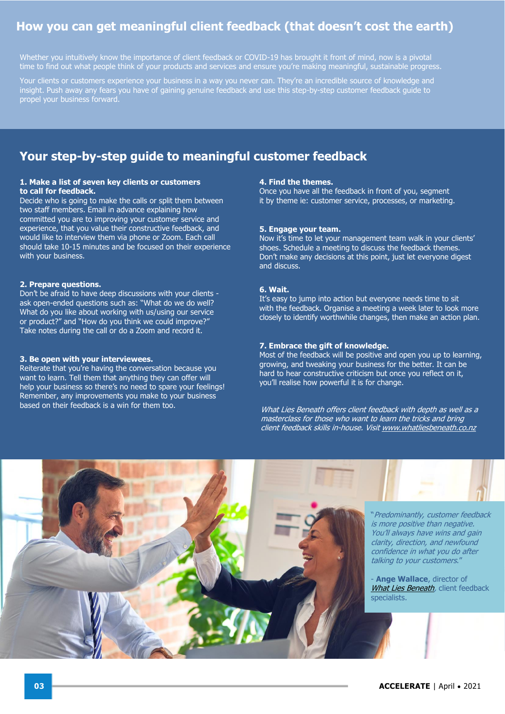## **How you can get meaningful client feedback (that doesn't cost the earth)**

Whether you intuitively know the importance of client feedback or COVID-19 has brought it front of mind, now is a pivotal time to find out what people think of your products and services and ensure you're making meaningful, sustainable progress.

Your clients or customers experience your business in a way you never can. They're an incredible source of knowledge and insight. Push away any fears you have of gaining genuine feedback and use this step-by-step customer feedback guide to propel your business forward.

## **Your step-by-step guide to meaningful customer feedback**

#### **1. Make a list of seven key clients or customers to call for feedback.**

Decide who is going to make the calls or split them between two staff members. Email in advance explaining how committed you are to improving your customer service and experience, that you value their constructive feedback, and would like to interview them via phone or Zoom. Each call should take 10-15 minutes and be focused on their experience with your business.

#### **2. Prepare questions.**

Don't be afraid to have deep discussions with your clients ask open-ended questions such as: "What do we do well? What do you like about working with us/using our service or product?" and "How do you think we could improve?" Take notes during the call or do a Zoom and record it.

#### **3. Be open with your interviewees.**

Reiterate that you're having the conversation because you want to learn. Tell them that anything they can offer will help your business so there's no need to spare your feelings! Remember, any improvements you make to your business based on their feedback is a win for them too.

#### **4. Find the themes.**

Once you have all the feedback in front of you, segment it by theme ie: customer service, processes, or marketing.

#### **5. Engage your team.**

Now it's time to let your management team walk in your clients' shoes. Schedule a meeting to discuss the feedback themes. Don't make any decisions at this point, just let everyone digest and discuss.

#### **6. Wait.**

It's easy to jump into action but everyone needs time to sit with the feedback. Organise a meeting a week later to look more closely to identify worthwhile changes, then make an action plan.

#### **7. Embrace the gift of knowledge.**

Most of the feedback will be positive and open you up to learning, growing, and tweaking your business for the better. It can be hard to hear constructive criticism but once you reflect on it, you'll realise how powerful it is for change.

What Lies Beneath offers client feedback with depth as well as a masterclass for those who want to learn the tricks and bring client feedback skills in-house. Visi[t www.whatliesbeneath.co.nz](https://www.whatliesbeneath.co.nz/)



- **Ange Wallace**, director of [What Lies Beneath,](https://www.whatliesbeneath.co.nz/) client feedback specialists.